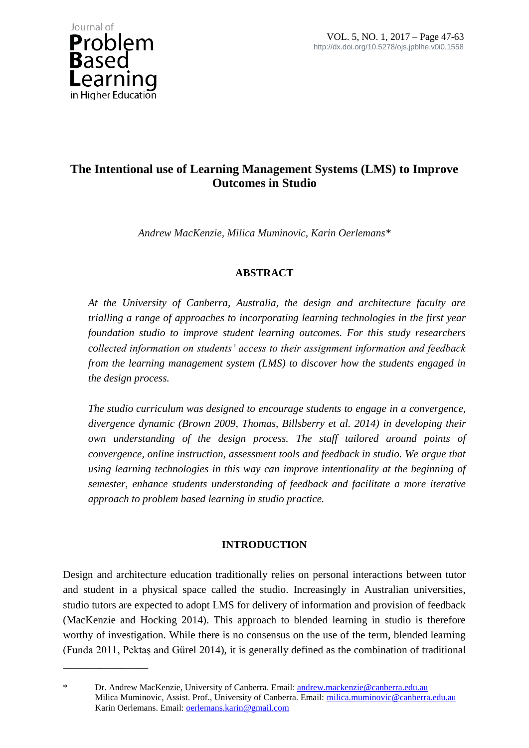

\_\_\_\_\_\_\_\_\_\_\_\_\_\_\_\_

# **The Intentional use of Learning Management Systems (LMS) to Improve Outcomes in Studio**

*Andrew MacKenzie, Milica Muminovic, Karin Oerlemans\**

# **ABSTRACT**

*At the University of Canberra, Australia, the design and architecture faculty are trialling a range of approaches to incorporating learning technologies in the first year foundation studio to improve student learning outcomes. For this study researchers collected information on students' access to their assignment information and feedback from the learning management system (LMS) to discover how the students engaged in the design process.* 

*The studio curriculum was designed to encourage students to engage in a convergence, divergence dynamic (Brown 2009, Thomas, Billsberry et al. 2014) in developing their own understanding of the design process. The staff tailored around points of convergence, online instruction, assessment tools and feedback in studio. We argue that using learning technologies in this way can improve intentionality at the beginning of semester, enhance students understanding of feedback and facilitate a more iterative approach to problem based learning in studio practice.*

# **INTRODUCTION**

Design and architecture education traditionally relies on personal interactions between tutor and student in a physical space called the studio. Increasingly in Australian universities, studio tutors are expected to adopt LMS for delivery of information and provision of feedback (MacKenzie and Hocking 2014). This approach to blended learning in studio is therefore worthy of investigation. While there is no consensus on the use of the term, blended learning (Funda 2011, Pektaş and Gürel 2014), it is generally defined as the combination of traditional

Dr. Andrew MacKenzie, University of Canberra. Email[: andrew.mackenzie@canberra.edu.au](mailto:andrew.mackenzie@canberra.edu.au) Milica Muminovic, Assist. Prof., University of Canberra. Email: [milica.muminovic@canberra.edu.au](mailto:milica.muminovic@canberra.edu.au) Karin Oerlemans. Email[: oerlemans.karin@gmail.com](mailto:oerlemans.karin@gmail.com)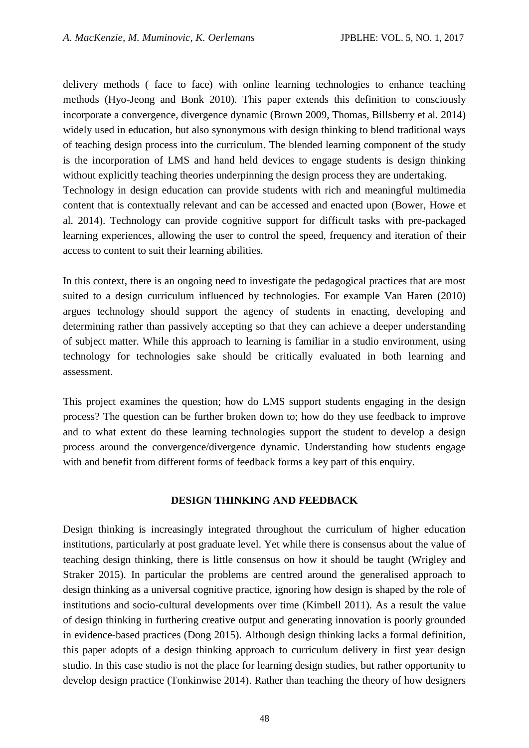delivery methods ( face to face) with online learning technologies to enhance teaching methods (Hyo-Jeong and Bonk 2010). This paper extends this definition to consciously incorporate a convergence, divergence dynamic (Brown 2009, Thomas, Billsberry et al. 2014) widely used in education, but also synonymous with design thinking to blend traditional ways of teaching design process into the curriculum. The blended learning component of the study is the incorporation of LMS and hand held devices to engage students is design thinking without explicitly teaching theories underpinning the design process they are undertaking. Technology in design education can provide students with rich and meaningful multimedia content that is contextually relevant and can be accessed and enacted upon (Bower, Howe et al. 2014). Technology can provide cognitive support for difficult tasks with pre-packaged learning experiences, allowing the user to control the speed, frequency and iteration of their access to content to suit their learning abilities.

In this context, there is an ongoing need to investigate the pedagogical practices that are most suited to a design curriculum influenced by technologies. For example Van Haren (2010) argues technology should support the agency of students in enacting, developing and determining rather than passively accepting so that they can achieve a deeper understanding of subject matter. While this approach to learning is familiar in a studio environment, using technology for technologies sake should be critically evaluated in both learning and assessment.

This project examines the question; how do LMS support students engaging in the design process? The question can be further broken down to; how do they use feedback to improve and to what extent do these learning technologies support the student to develop a design process around the convergence/divergence dynamic. Understanding how students engage with and benefit from different forms of feedback forms a key part of this enquiry.

#### **DESIGN THINKING AND FEEDBACK**

Design thinking is increasingly integrated throughout the curriculum of higher education institutions, particularly at post graduate level. Yet while there is consensus about the value of teaching design thinking, there is little consensus on how it should be taught (Wrigley and Straker 2015). In particular the problems are centred around the generalised approach to design thinking as a universal cognitive practice, ignoring how design is shaped by the role of institutions and socio-cultural developments over time (Kimbell 2011). As a result the value of design thinking in furthering creative output and generating innovation is poorly grounded in evidence-based practices (Dong 2015). Although design thinking lacks a formal definition, this paper adopts of a design thinking approach to curriculum delivery in first year design studio. In this case studio is not the place for learning design studies, but rather opportunity to develop design practice (Tonkinwise 2014). Rather than teaching the theory of how designers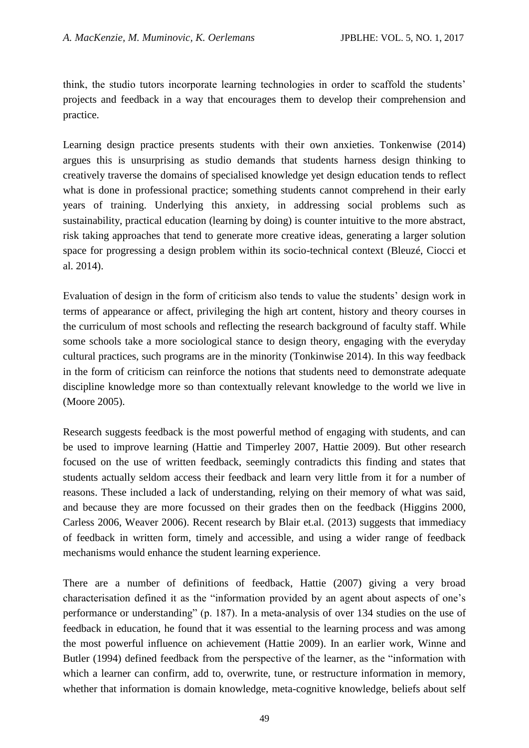think, the studio tutors incorporate learning technologies in order to scaffold the students' projects and feedback in a way that encourages them to develop their comprehension and practice.

Learning design practice presents students with their own anxieties. Tonkenwise (2014) argues this is unsurprising as studio demands that students harness design thinking to creatively traverse the domains of specialised knowledge yet design education tends to reflect what is done in professional practice; something students cannot comprehend in their early years of training. Underlying this anxiety, in addressing social problems such as sustainability, practical education (learning by doing) is counter intuitive to the more abstract, risk taking approaches that tend to generate more creative ideas, generating a larger solution space for progressing a design problem within its socio-technical context (Bleuzé, Ciocci et al. 2014).

Evaluation of design in the form of criticism also tends to value the students' design work in terms of appearance or affect, privileging the high art content, history and theory courses in the curriculum of most schools and reflecting the research background of faculty staff. While some schools take a more sociological stance to design theory, engaging with the everyday cultural practices, such programs are in the minority (Tonkinwise 2014). In this way feedback in the form of criticism can reinforce the notions that students need to demonstrate adequate discipline knowledge more so than contextually relevant knowledge to the world we live in (Moore 2005).

Research suggests feedback is the most powerful method of engaging with students, and can be used to improve learning (Hattie and Timperley 2007, Hattie 2009). But other research focused on the use of written feedback, seemingly contradicts this finding and states that students actually seldom access their feedback and learn very little from it for a number of reasons. These included a lack of understanding, relying on their memory of what was said, and because they are more focussed on their grades then on the feedback (Higgins 2000, Carless 2006, Weaver 2006). Recent research by Blair et.al. (2013) suggests that immediacy of feedback in written form, timely and accessible, and using a wider range of feedback mechanisms would enhance the student learning experience.

There are a number of definitions of feedback, Hattie (2007) giving a very broad characterisation defined it as the "information provided by an agent about aspects of one's performance or understanding" (p. 187). In a meta-analysis of over 134 studies on the use of feedback in education, he found that it was essential to the learning process and was among the most powerful influence on achievement (Hattie 2009). In an earlier work, Winne and Butler (1994) defined feedback from the perspective of the learner, as the "information with which a learner can confirm, add to, overwrite, tune, or restructure information in memory, whether that information is domain knowledge, meta-cognitive knowledge, beliefs about self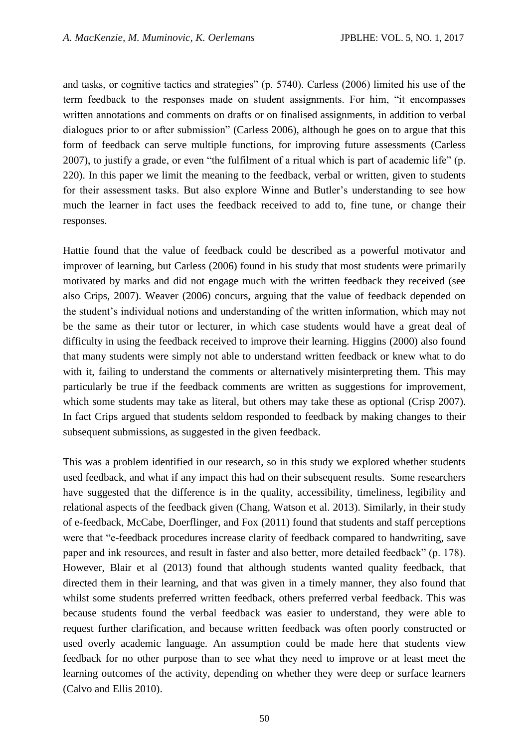and tasks, or cognitive tactics and strategies" (p. 5740). Carless (2006) limited his use of the term feedback to the responses made on student assignments. For him, "it encompasses written annotations and comments on drafts or on finalised assignments, in addition to verbal dialogues prior to or after submission" (Carless 2006), although he goes on to argue that this form of feedback can serve multiple functions, for improving future assessments (Carless 2007), to justify a grade, or even "the fulfilment of a ritual which is part of academic life" (p. 220). In this paper we limit the meaning to the feedback, verbal or written, given to students for their assessment tasks. But also explore Winne and Butler's understanding to see how much the learner in fact uses the feedback received to add to, fine tune, or change their responses.

Hattie found that the value of feedback could be described as a powerful motivator and improver of learning, but Carless (2006) found in his study that most students were primarily motivated by marks and did not engage much with the written feedback they received (see also Crips, 2007). Weaver (2006) concurs, arguing that the value of feedback depended on the student's individual notions and understanding of the written information, which may not be the same as their tutor or lecturer, in which case students would have a great deal of difficulty in using the feedback received to improve their learning. Higgins (2000) also found that many students were simply not able to understand written feedback or knew what to do with it, failing to understand the comments or alternatively misinterpreting them. This may particularly be true if the feedback comments are written as suggestions for improvement, which some students may take as literal, but others may take these as optional (Crisp 2007). In fact Crips argued that students seldom responded to feedback by making changes to their subsequent submissions, as suggested in the given feedback.

This was a problem identified in our research, so in this study we explored whether students used feedback, and what if any impact this had on their subsequent results. Some researchers have suggested that the difference is in the quality, accessibility, timeliness, legibility and relational aspects of the feedback given (Chang, Watson et al. 2013). Similarly, in their study of e-feedback, McCabe, Doerflinger, and Fox (2011) found that students and staff perceptions were that "e-feedback procedures increase clarity of feedback compared to handwriting, save paper and ink resources, and result in faster and also better, more detailed feedback" (p. 178). However, Blair et al (2013) found that although students wanted quality feedback, that directed them in their learning, and that was given in a timely manner, they also found that whilst some students preferred written feedback, others preferred verbal feedback. This was because students found the verbal feedback was easier to understand, they were able to request further clarification, and because written feedback was often poorly constructed or used overly academic language. An assumption could be made here that students view feedback for no other purpose than to see what they need to improve or at least meet the learning outcomes of the activity, depending on whether they were deep or surface learners (Calvo and Ellis 2010).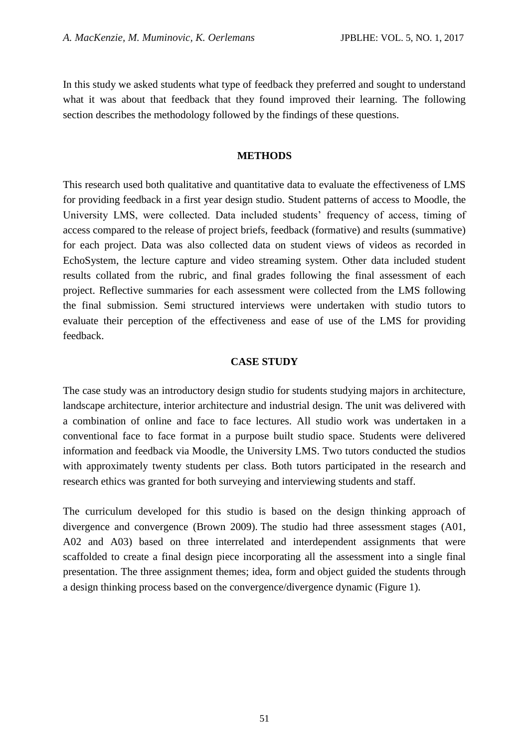In this study we asked students what type of feedback they preferred and sought to understand what it was about that feedback that they found improved their learning. The following section describes the methodology followed by the findings of these questions.

#### **METHODS**

This research used both qualitative and quantitative data to evaluate the effectiveness of LMS for providing feedback in a first year design studio. Student patterns of access to Moodle, the University LMS, were collected. Data included students' frequency of access, timing of access compared to the release of project briefs, feedback (formative) and results (summative) for each project. Data was also collected data on student views of videos as recorded in EchoSystem, the lecture capture and video streaming system. Other data included student results collated from the rubric, and final grades following the final assessment of each project. Reflective summaries for each assessment were collected from the LMS following the final submission. Semi structured interviews were undertaken with studio tutors to evaluate their perception of the effectiveness and ease of use of the LMS for providing feedback.

#### **CASE STUDY**

The case study was an introductory design studio for students studying majors in architecture, landscape architecture, interior architecture and industrial design. The unit was delivered with a combination of online and face to face lectures. All studio work was undertaken in a conventional face to face format in a purpose built studio space. Students were delivered information and feedback via Moodle, the University LMS. Two tutors conducted the studios with approximately twenty students per class. Both tutors participated in the research and research ethics was granted for both surveying and interviewing students and staff.

The curriculum developed for this studio is based on the design thinking approach of divergence and convergence (Brown 2009). The studio had three assessment stages (A01, A02 and A03) based on three interrelated and interdependent assignments that were scaffolded to create a final design piece incorporating all the assessment into a single final presentation. The three assignment themes; idea, form and object guided the students through a design thinking process based on the convergence/divergence dynamic (Figure 1).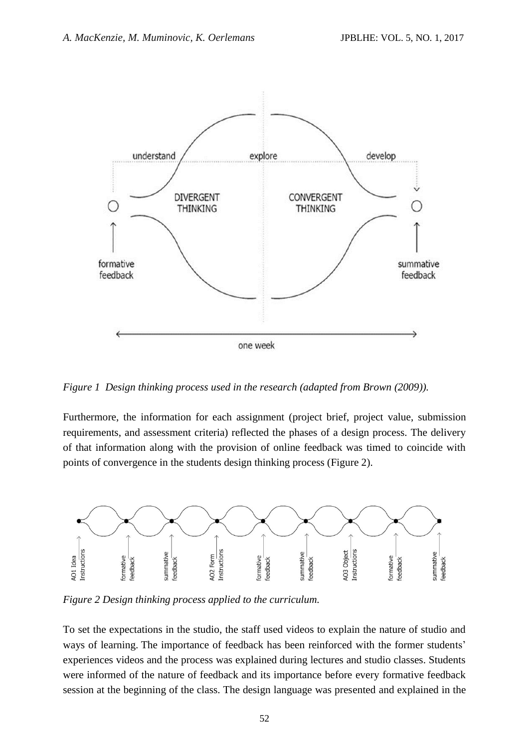

*Figure 1 Design thinking process used in the research (adapted from Brown (2009)).*

Furthermore, the information for each assignment (project brief, project value, submission requirements, and assessment criteria) reflected the phases of a design process. The delivery of that information along with the provision of online feedback was timed to coincide with points of convergence in the students design thinking process (Figure 2).



*Figure 2 Design thinking process applied to the curriculum.*

To set the expectations in the studio, the staff used videos to explain the nature of studio and ways of learning. The importance of feedback has been reinforced with the former students' experiences videos and the process was explained during lectures and studio classes. Students were informed of the nature of feedback and its importance before every formative feedback session at the beginning of the class. The design language was presented and explained in the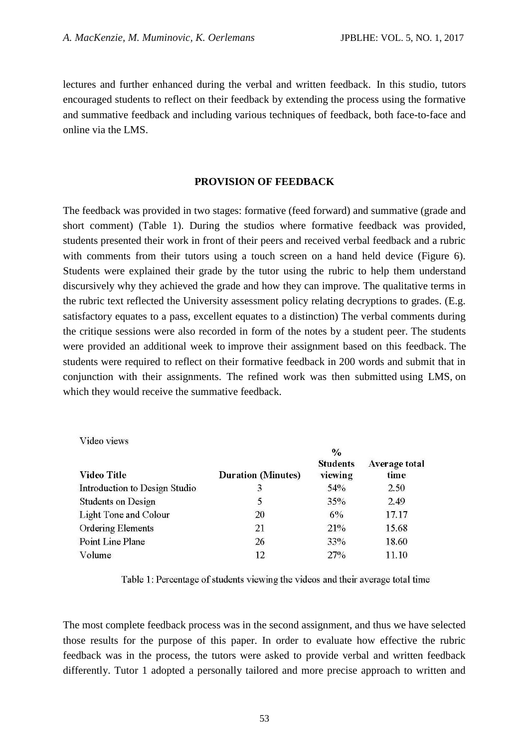lectures and further enhanced during the verbal and written feedback. In this studio, tutors encouraged students to reflect on their feedback by extending the process using the formative and summative feedback and including various techniques of feedback, both face-to-face and online via the LMS.

#### **PROVISION OF FEEDBACK**

The feedback was provided in two stages: formative (feed forward) and summative (grade and short comment) (Table 1). During the studios where formative feedback was provided, students presented their work in front of their peers and received verbal feedback and a rubric with comments from their tutors using a touch screen on a hand held device (Figure 6). Students were explained their grade by the tutor using the rubric to help them understand discursively why they achieved the grade and how they can improve. The qualitative terms in the rubric text reflected the University assessment policy relating decryptions to grades. (E.g. satisfactory equates to a pass, excellent equates to a distinction) The verbal comments during the critique sessions were also recorded in form of the notes by a student peer. The students were provided an additional week to improve their assignment based on this feedback. The students were required to reflect on their formative feedback in 200 words and submit that in conjunction with their assignments. The refined work was then submitted using LMS, on which they would receive the summative feedback.

|                               | $\frac{0}{0}$             |                            |                       |  |  |  |  |
|-------------------------------|---------------------------|----------------------------|-----------------------|--|--|--|--|
| <b>Video Title</b>            | <b>Duration (Minutes)</b> | <b>Students</b><br>viewing | Average total<br>time |  |  |  |  |
| Introduction to Design Studio | 3                         | 54%                        | 2.50                  |  |  |  |  |
| <b>Students on Design</b>     | 5                         | 35%                        | 2.49                  |  |  |  |  |
| Light Tone and Colour         | 20                        | 6%                         | 17.17                 |  |  |  |  |
| <b>Ordering Elements</b>      | 21                        | 21%                        | 15.68                 |  |  |  |  |
| Point Line Plane              | 26                        | 33%                        | 18.60                 |  |  |  |  |
| Volume                        | 12.                       | 27%                        | 11.10                 |  |  |  |  |

Video views

Table 1: Percentage of students viewing the videos and their average total time

The most complete feedback process was in the second assignment, and thus we have selected those results for the purpose of this paper. In order to evaluate how effective the rubric feedback was in the process, the tutors were asked to provide verbal and written feedback differently. Tutor 1 adopted a personally tailored and more precise approach to written and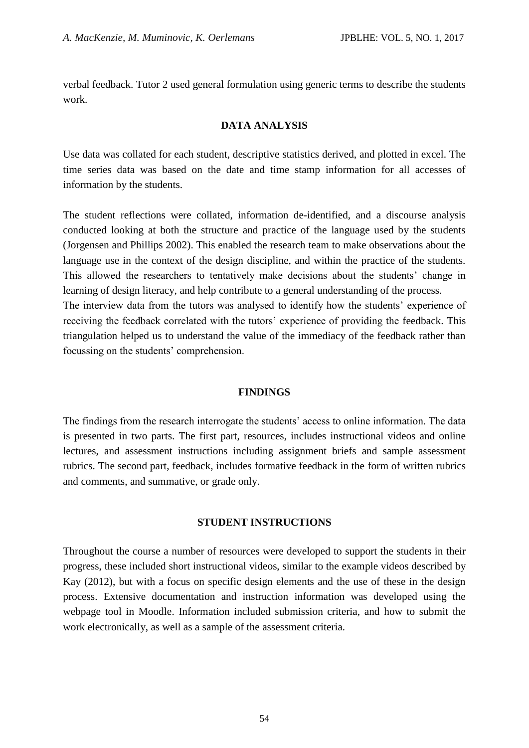verbal feedback. Tutor 2 used general formulation using generic terms to describe the students work.

### **DATA ANALYSIS**

Use data was collated for each student, descriptive statistics derived, and plotted in excel. The time series data was based on the date and time stamp information for all accesses of information by the students.

The student reflections were collated, information de-identified, and a discourse analysis conducted looking at both the structure and practice of the language used by the students (Jorgensen and Phillips 2002). This enabled the research team to make observations about the language use in the context of the design discipline, and within the practice of the students. This allowed the researchers to tentatively make decisions about the students' change in learning of design literacy, and help contribute to a general understanding of the process. The interview data from the tutors was analysed to identify how the students' experience of receiving the feedback correlated with the tutors' experience of providing the feedback. This triangulation helped us to understand the value of the immediacy of the feedback rather than focussing on the students' comprehension.

#### **FINDINGS**

The findings from the research interrogate the students' access to online information. The data is presented in two parts. The first part, resources, includes instructional videos and online lectures, and assessment instructions including assignment briefs and sample assessment rubrics. The second part, feedback, includes formative feedback in the form of written rubrics and comments, and summative, or grade only.

#### **STUDENT INSTRUCTIONS**

Throughout the course a number of resources were developed to support the students in their progress, these included short instructional videos, similar to the example videos described by Kay (2012), but with a focus on specific design elements and the use of these in the design process. Extensive documentation and instruction information was developed using the webpage tool in Moodle. Information included submission criteria, and how to submit the work electronically, as well as a sample of the assessment criteria.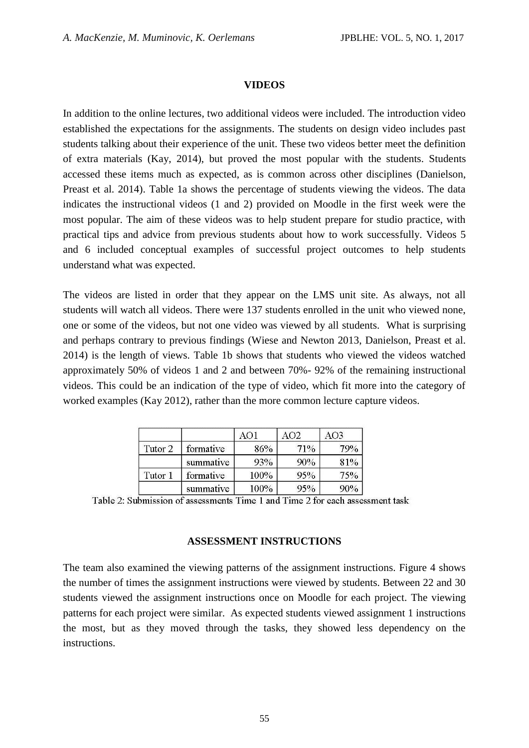#### **VIDEOS**

In addition to the online lectures, two additional videos were included. The introduction video established the expectations for the assignments. The students on design video includes past students talking about their experience of the unit. These two videos better meet the definition of extra materials (Kay, 2014), but proved the most popular with the students. Students accessed these items much as expected, as is common across other disciplines (Danielson, Preast et al. 2014). Table 1a shows the percentage of students viewing the videos. The data indicates the instructional videos (1 and 2) provided on Moodle in the first week were the most popular. The aim of these videos was to help student prepare for studio practice, with practical tips and advice from previous students about how to work successfully. Videos 5 and 6 included conceptual examples of successful project outcomes to help students understand what was expected.

The videos are listed in order that they appear on the LMS unit site. As always, not all students will watch all videos. There were 137 students enrolled in the unit who viewed none, one or some of the videos, but not one video was viewed by all students. What is surprising and perhaps contrary to previous findings (Wiese and Newton 2013, Danielson, Preast et al. 2014) is the length of views. Table 1b shows that students who viewed the videos watched approximately 50% of videos 1 and 2 and between 70%- 92% of the remaining instructional videos. This could be an indication of the type of video, which fit more into the category of worked examples (Kay 2012), rather than the more common lecture capture videos.

|         |           |         | AO2. | AO3 |
|---------|-----------|---------|------|-----|
| Tutor 2 | formative | 86%     | 71%  | 79% |
|         | summative | 93%     | 90%  | 81% |
| Tutor 1 | formative | $100\%$ | 95%  | 75% |
|         | summative | 100%    | 95%  | 90% |

Table 2: Submission of assessments Time 1 and Time 2 for each assessment task

#### **ASSESSMENT INSTRUCTIONS**

The team also examined the viewing patterns of the assignment instructions. Figure 4 shows the number of times the assignment instructions were viewed by students. Between 22 and 30 students viewed the assignment instructions once on Moodle for each project. The viewing patterns for each project were similar. As expected students viewed assignment 1 instructions the most, but as they moved through the tasks, they showed less dependency on the instructions.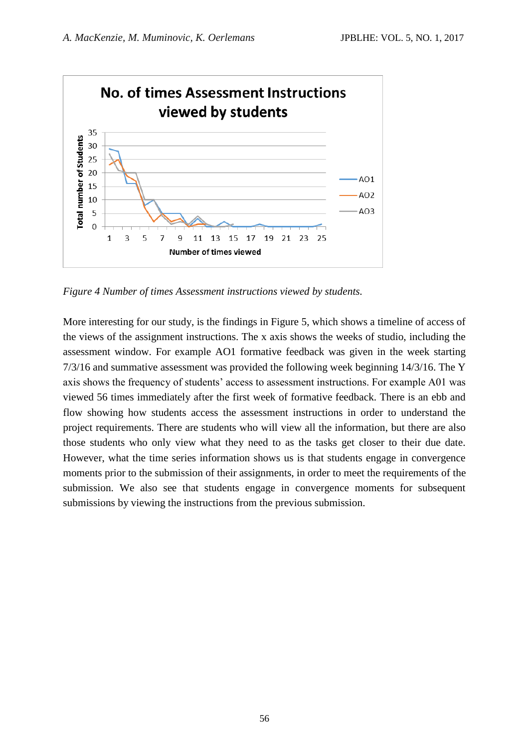

*Figure 4 Number of times Assessment instructions viewed by students.*

More interesting for our study, is the findings in Figure 5, which shows a timeline of access of the views of the assignment instructions. The x axis shows the weeks of studio, including the assessment window. For example AO1 formative feedback was given in the week starting 7/3/16 and summative assessment was provided the following week beginning 14/3/16. The Y axis shows the frequency of students' access to assessment instructions. For example A01 was viewed 56 times immediately after the first week of formative feedback. There is an ebb and flow showing how students access the assessment instructions in order to understand the project requirements. There are students who will view all the information, but there are also those students who only view what they need to as the tasks get closer to their due date. However, what the time series information shows us is that students engage in convergence moments prior to the submission of their assignments, in order to meet the requirements of the submission. We also see that students engage in convergence moments for subsequent submissions by viewing the instructions from the previous submission.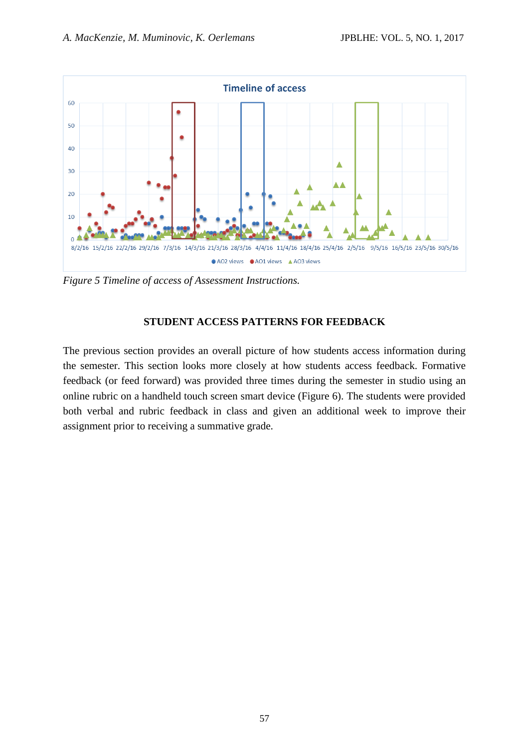

*Figure 5 Timeline of access of Assessment Instructions.*

## **STUDENT ACCESS PATTERNS FOR FEEDBACK**

The previous section provides an overall picture of how students access information during the semester. This section looks more closely at how students access feedback. Formative feedback (or feed forward) was provided three times during the semester in studio using an online rubric on a handheld touch screen smart device (Figure 6). The students were provided both verbal and rubric feedback in class and given an additional week to improve their assignment prior to receiving a summative grade.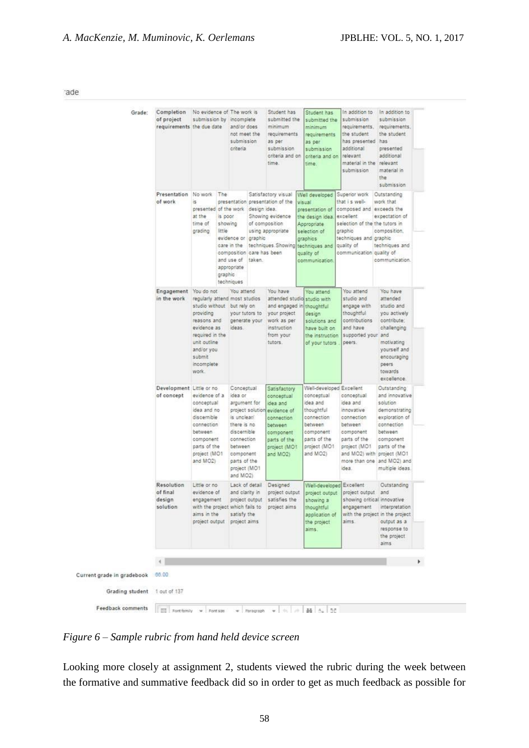ade

| Grade:                           | Completion<br>of project<br>requirements the due date | No evidence of The work is<br>submission by incomplete                                                                                                                | and/or does<br>not meet the<br>submission<br>criteria                                                                                                                                                                           | Student has<br>submitted the<br>minimum<br>requirements<br>as per<br>submission<br>criteria and on<br>time.                            | Student has<br>submitted the<br>minimum<br>requirements<br>as per<br>submission<br>criteria and on<br>time.                                                 | In addition to<br>submission<br>requirements,<br>the student<br>has presented has<br>additional<br>relevant<br>material in the relevant<br>submission                                     | In addition to<br>submission<br>requirements.<br>the student<br>presented<br>additional<br>material in<br>the<br>submission                                                                                       |  |
|----------------------------------|-------------------------------------------------------|-----------------------------------------------------------------------------------------------------------------------------------------------------------------------|---------------------------------------------------------------------------------------------------------------------------------------------------------------------------------------------------------------------------------|----------------------------------------------------------------------------------------------------------------------------------------|-------------------------------------------------------------------------------------------------------------------------------------------------------------|-------------------------------------------------------------------------------------------------------------------------------------------------------------------------------------------|-------------------------------------------------------------------------------------------------------------------------------------------------------------------------------------------------------------------|--|
|                                  | Presentation No work The<br>of work                   | is.<br>at the<br>time of<br>little<br>grading                                                                                                                         | presentation presentation of the<br>presented of the work design idea.<br>is poor<br>showing<br>evidence or graphic<br>care in the<br>composition care has been<br>and use of<br>taken.<br>appropriate<br>graphic<br>techniques | Satisfactory visual<br>Showing evidence<br>of composition<br>using appropriate<br>techniques. Showing                                  | Well developed<br>visual<br>presentation of<br>the design idea<br>Appropriate<br>selection of<br>graphics<br>techniques and<br>quality of<br>communication. | Superior work<br>that i s well-<br>composed and exceeds the<br>excellent<br>selection of the the tutors in<br>graphic<br>techniques and graphic<br>quality of<br>communication quality of | Outstanding<br>work that<br>expectation of<br>composition.<br>techniques and<br>communication.                                                                                                                    |  |
|                                  | Engagement<br>in the work                             | You do not<br>studio without but rely on<br>providing<br>reasons and<br>evidence as<br>required in the<br>unit outline<br>and/or you<br>submit<br>incomplete<br>work. | You attend<br>regularly attend most studios<br>your tutors to<br>generate your<br>ideas.                                                                                                                                        | You have<br>attended studio<br>and engaged in<br>your project<br>work as per<br>instruction<br>from your<br>tutors.                    | You attend<br>studio with<br>thoughtful<br>design<br>solutions and<br>have built on<br>the instruction<br>of your tutors                                    | You attend<br>studio and<br>engage with<br>thoughtful<br>contributions<br>and have<br>supported your and<br>peers.                                                                        | You have<br>attended<br>studio and<br>you actively<br>contribute:<br>challenging<br>motivating<br>yourself and<br>encouraging<br>peers<br>towards<br>excellence.                                                  |  |
|                                  | Development Little or no<br>of concept                | evidence of a<br>conceptual<br>idea and no<br>discernible<br>connection<br>between<br>component<br>parts of the<br>project (MO1<br>and MO2)                           | Conceptual<br>idea or<br>argument for<br>project solution<br>is unclear/<br>there is no<br>discernible<br>connection<br>between<br>component<br>parts of the<br>project (MO1<br>and MO2)                                        | Satisfactory<br>conceptual<br>dea and<br>evidence of<br>connection<br>between<br>component<br>parts of the<br>project (MO1<br>and MO2) | Well-developed Excellent<br>conceptual<br>idea and<br>thoughtful<br>connection<br>between<br>component<br>parts of the<br>project (MO1<br>and MO2)          | conceptual<br>idea and<br>innovative<br>connection<br>between<br>component<br>parts of the<br>project (MO1<br>idea.                                                                       | Outstanding<br>and innovative<br>solution<br>demonstrating<br>exploration of<br>connection<br>between<br>component<br>parts of the<br>and MO2) with project (MO1<br>more than one and MO2) and<br>multiple ideas. |  |
|                                  | Resolution<br>of final<br>design<br>solution          | Little or no<br>evidence of<br>engagement<br>aims in the                                                                                                              | Lack of detail<br>and clarity in<br>project output<br>with the project which fails to project aims<br>satisfy the<br>project output project aims                                                                                | Designed<br>project output<br>satisfies the                                                                                            | Well-developed Excellent<br>project output<br>showing a<br>thoughtful<br>application of<br>the project<br>aims.                                             | project output.<br>showing critical innovative<br>aims.                                                                                                                                   | Outstanding<br>and<br>engagement interpretation<br>with the project in the project<br>output as a<br>response to<br>the project.<br>aims                                                                          |  |
| Current grade in gradebook 00.00 |                                                       |                                                                                                                                                                       |                                                                                                                                                                                                                                 |                                                                                                                                        |                                                                                                                                                             |                                                                                                                                                                                           |                                                                                                                                                                                                                   |  |
| Grading student                  | 1 out of 137                                          |                                                                                                                                                                       |                                                                                                                                                                                                                                 |                                                                                                                                        |                                                                                                                                                             |                                                                                                                                                                                           |                                                                                                                                                                                                                   |  |
| <b>Feedback comments</b>         | 盟                                                     | Font family w Font size                                                                                                                                               | Paragraph<br>$\cdot$                                                                                                                                                                                                            | $\mathbf{v}$ .                                                                                                                         | $0.70$ $0.74$ $A0$ 55                                                                                                                                       |                                                                                                                                                                                           |                                                                                                                                                                                                                   |  |

*Figure 6 – Sample rubric from hand held device screen*

Looking more closely at assignment 2, students viewed the rubric during the week between the formative and summative feedback did so in order to get as much feedback as possible for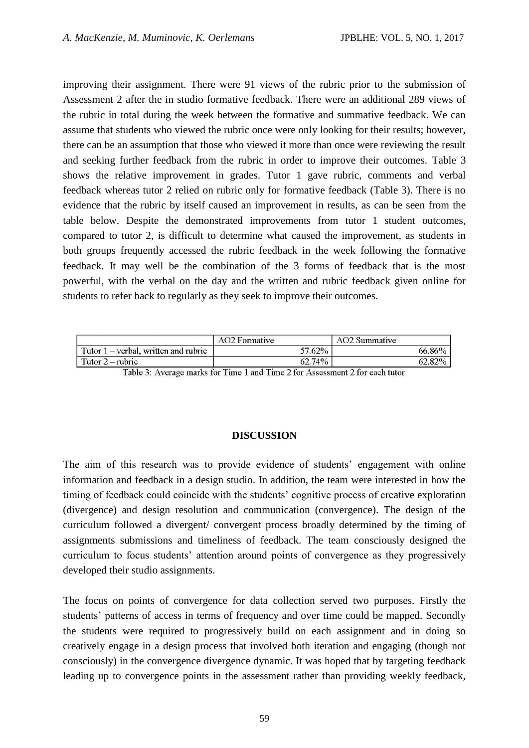improving their assignment. There were 91 views of the rubric prior to the submission of Assessment 2 after the in studio formative feedback. There were an additional 289 views of the rubric in total during the week between the formative and summative feedback. We can assume that students who viewed the rubric once were only looking for their results; however, there can be an assumption that those who viewed it more than once were reviewing the result and seeking further feedback from the rubric in order to improve their outcomes. Table 3 shows the relative improvement in grades. Tutor 1 gave rubric, comments and verbal feedback whereas tutor 2 relied on rubric only for formative feedback (Table 3). There is no evidence that the rubric by itself caused an improvement in results, as can be seen from the table below. Despite the demonstrated improvements from tutor 1 student outcomes, compared to tutor 2, is difficult to determine what caused the improvement, as students in both groups frequently accessed the rubric feedback in the week following the formative feedback. It may well be the combination of the 3 forms of feedback that is the most powerful, with the verbal on the day and the written and rubric feedback given online for students to refer back to regularly as they seek to improve their outcomes.

| 57.62% | 66.86% |
|--------|--------|
| 62.74% |        |
|        |        |

Table 3: Average marks for Time 1 and Time 2 for Assessment 2 for each tutor

### **DISCUSSION**

The aim of this research was to provide evidence of students' engagement with online information and feedback in a design studio. In addition, the team were interested in how the timing of feedback could coincide with the students' cognitive process of creative exploration (divergence) and design resolution and communication (convergence). The design of the curriculum followed a divergent/ convergent process broadly determined by the timing of assignments submissions and timeliness of feedback. The team consciously designed the curriculum to focus students' attention around points of convergence as they progressively developed their studio assignments.

The focus on points of convergence for data collection served two purposes. Firstly the students' patterns of access in terms of frequency and over time could be mapped. Secondly the students were required to progressively build on each assignment and in doing so creatively engage in a design process that involved both iteration and engaging (though not consciously) in the convergence divergence dynamic. It was hoped that by targeting feedback leading up to convergence points in the assessment rather than providing weekly feedback,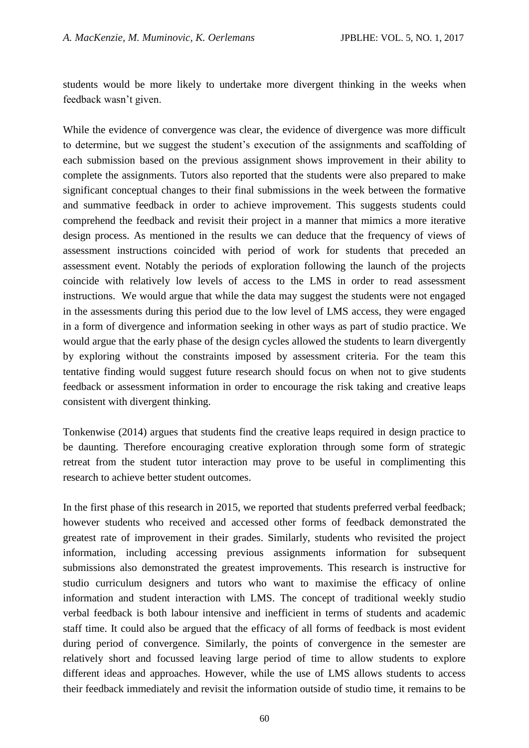students would be more likely to undertake more divergent thinking in the weeks when feedback wasn't given.

While the evidence of convergence was clear, the evidence of divergence was more difficult to determine, but we suggest the student's execution of the assignments and scaffolding of each submission based on the previous assignment shows improvement in their ability to complete the assignments. Tutors also reported that the students were also prepared to make significant conceptual changes to their final submissions in the week between the formative and summative feedback in order to achieve improvement. This suggests students could comprehend the feedback and revisit their project in a manner that mimics a more iterative design process. As mentioned in the results we can deduce that the frequency of views of assessment instructions coincided with period of work for students that preceded an assessment event. Notably the periods of exploration following the launch of the projects coincide with relatively low levels of access to the LMS in order to read assessment instructions. We would argue that while the data may suggest the students were not engaged in the assessments during this period due to the low level of LMS access, they were engaged in a form of divergence and information seeking in other ways as part of studio practice. We would argue that the early phase of the design cycles allowed the students to learn divergently by exploring without the constraints imposed by assessment criteria. For the team this tentative finding would suggest future research should focus on when not to give students feedback or assessment information in order to encourage the risk taking and creative leaps consistent with divergent thinking.

Tonkenwise (2014) argues that students find the creative leaps required in design practice to be daunting. Therefore encouraging creative exploration through some form of strategic retreat from the student tutor interaction may prove to be useful in complimenting this research to achieve better student outcomes.

In the first phase of this research in 2015, we reported that students preferred verbal feedback; however students who received and accessed other forms of feedback demonstrated the greatest rate of improvement in their grades. Similarly, students who revisited the project information, including accessing previous assignments information for subsequent submissions also demonstrated the greatest improvements. This research is instructive for studio curriculum designers and tutors who want to maximise the efficacy of online information and student interaction with LMS. The concept of traditional weekly studio verbal feedback is both labour intensive and inefficient in terms of students and academic staff time. It could also be argued that the efficacy of all forms of feedback is most evident during period of convergence. Similarly, the points of convergence in the semester are relatively short and focussed leaving large period of time to allow students to explore different ideas and approaches. However, while the use of LMS allows students to access their feedback immediately and revisit the information outside of studio time, it remains to be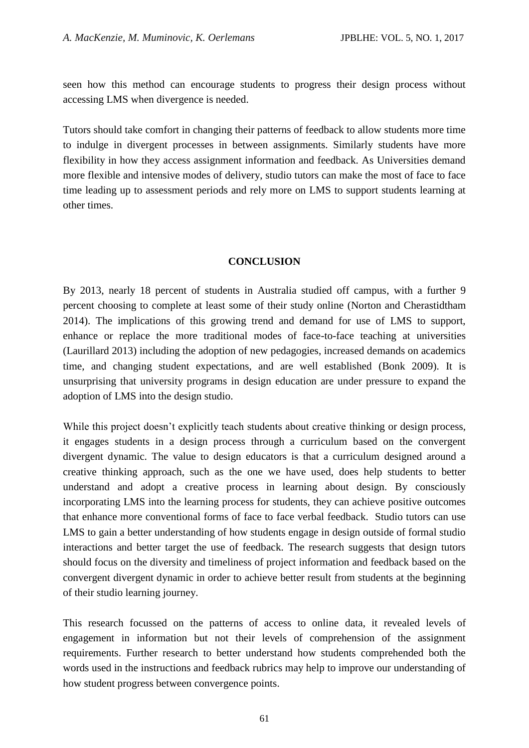seen how this method can encourage students to progress their design process without accessing LMS when divergence is needed.

Tutors should take comfort in changing their patterns of feedback to allow students more time to indulge in divergent processes in between assignments. Similarly students have more flexibility in how they access assignment information and feedback. As Universities demand more flexible and intensive modes of delivery, studio tutors can make the most of face to face time leading up to assessment periods and rely more on LMS to support students learning at other times.

### **CONCLUSION**

By 2013, nearly 18 percent of students in Australia studied off campus, with a further 9 percent choosing to complete at least some of their study online (Norton and Cherastidtham 2014). The implications of this growing trend and demand for use of LMS to support, enhance or replace the more traditional modes of face-to-face teaching at universities (Laurillard 2013) including the adoption of new pedagogies, increased demands on academics time, and changing student expectations, and are well established (Bonk 2009). It is unsurprising that university programs in design education are under pressure to expand the adoption of LMS into the design studio.

While this project doesn't explicitly teach students about creative thinking or design process, it engages students in a design process through a curriculum based on the convergent divergent dynamic. The value to design educators is that a curriculum designed around a creative thinking approach, such as the one we have used, does help students to better understand and adopt a creative process in learning about design. By consciously incorporating LMS into the learning process for students, they can achieve positive outcomes that enhance more conventional forms of face to face verbal feedback. Studio tutors can use LMS to gain a better understanding of how students engage in design outside of formal studio interactions and better target the use of feedback. The research suggests that design tutors should focus on the diversity and timeliness of project information and feedback based on the convergent divergent dynamic in order to achieve better result from students at the beginning of their studio learning journey.

This research focussed on the patterns of access to online data, it revealed levels of engagement in information but not their levels of comprehension of the assignment requirements. Further research to better understand how students comprehended both the words used in the instructions and feedback rubrics may help to improve our understanding of how student progress between convergence points.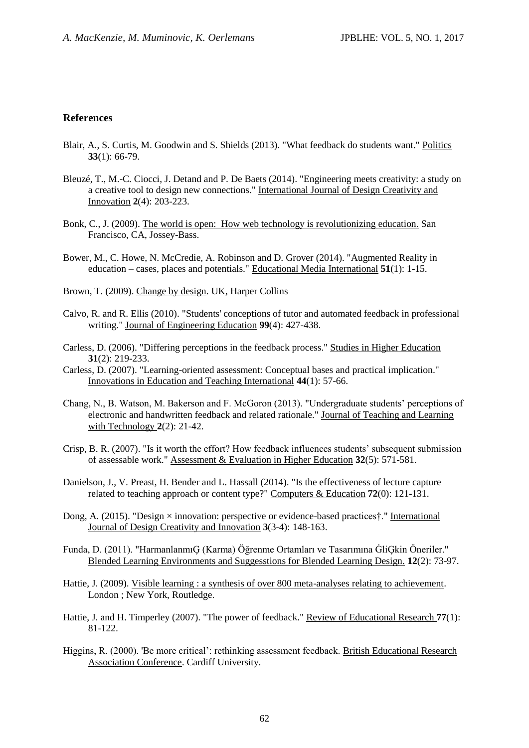#### **References**

- Blair, A., S. Curtis, M. Goodwin and S. Shields (2013). "What feedback do students want." Politics **33**(1): 66-79.
- Bleuzé, T., M.-C. Ciocci, J. Detand and P. De Baets (2014). "Engineering meets creativity: a study on a creative tool to design new connections." International Journal of Design Creativity and Innovation **2**(4): 203-223.
- Bonk, C., J. (2009). The world is open: How web technology is revolutionizing education. San Francisco, CA, Jossey-Bass.
- Bower, M., C. Howe, N. McCredie, A. Robinson and D. Grover (2014). "Augmented Reality in education – cases, places and potentials." Educational Media International **51**(1): 1-15.
- Brown, T. (2009). Change by design. UK, Harper Collins
- Calvo, R. and R. Ellis (2010). "Students' conceptions of tutor and automated feedback in professional writing." Journal of Engineering Education **99**(4): 427-438.
- Carless, D. (2006). "Differing perceptions in the feedback process." Studies in Higher Education **31**(2): 219-233.
- Carless, D. (2007). "Learning-oriented assessment: Conceptual bases and practical implication." Innovations in Education and Teaching International **44**(1): 57-66.
- Chang, N., B. Watson, M. Bakerson and F. McGoron (2013). "Undergraduate students' perceptions of electronic and handwritten feedback and related rationale." Journal of Teaching and Learning with Technology **2**(2): 21-42.
- Crisp, B. R. (2007). "Is it worth the effort? How feedback influences students' subsequent submission of assessable work." Assessment & Evaluation in Higher Education **32**(5): 571-581.
- Danielson, J., V. Preast, H. Bender and L. Hassall (2014). "Is the effectiveness of lecture capture related to teaching approach or content type?" Computers & Education **72**(0): 121-131.
- Dong, A. (2015). "Design  $\times$  innovation: perspective or evidence-based practices†." International Journal of Design Creativity and Innovation **3**(3-4): 148-163.
- Funda, D. (2011). "HarmanlanmıĢ (Karma) Öğrenme Ortamları ve Tasarımına ĠliĢkin Öneriler." Blended Learning Environments and Suggesstions for Blended Learning Design. **12**(2): 73-97.
- Hattie, J. (2009). Visible learning : a synthesis of over 800 meta-analyses relating to achievement. London ; New York, Routledge.
- Hattie, J. and H. Timperley (2007). "The power of feedback." Review of Educational Research **77**(1): 81-122.
- Higgins, R. (2000). 'Be more critical': rethinking assessment feedback. British Educational Research Association Conference. Cardiff University.